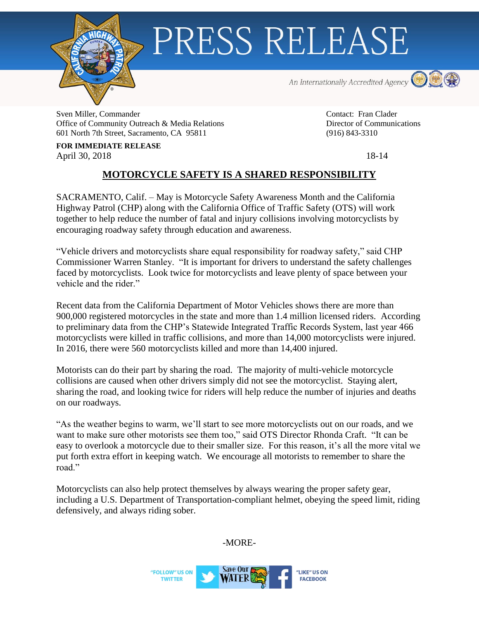

## PRESS RELEASE

An Internationally Accredited Agency **OD** 



Sven Miller, Commander Contact: Fran Clader Office of Community Outreach & Media Relations Director of Communications Director of Communications 601 North 7th Street, Sacramento, CA 95811 (916) 843-3310

**FOR IMMEDIATE RELEASE** April 30, 2018 18-14

## **MOTORCYCLE SAFETY IS A SHARED RESPONSIBILITY**

SACRAMENTO, Calif. – May is Motorcycle Safety Awareness Month and the California Highway Patrol (CHP) along with the California Office of Traffic Safety (OTS) will work together to help reduce the number of fatal and injury collisions involving motorcyclists by encouraging roadway safety through education and awareness.

"Vehicle drivers and motorcyclists share equal responsibility for roadway safety," said CHP Commissioner Warren Stanley. "It is important for drivers to understand the safety challenges faced by motorcyclists. Look twice for motorcyclists and leave plenty of space between your vehicle and the rider."

Recent data from the California Department of Motor Vehicles shows there are more than 900,000 registered motorcycles in the state and more than 1.4 million licensed riders. According to preliminary data from the CHP's Statewide Integrated Traffic Records System, last year 466 motorcyclists were killed in traffic collisions, and more than 14,000 motorcyclists were injured. In 2016, there were 560 motorcyclists killed and more than 14,400 injured.

Motorists can do their part by sharing the road. The majority of multi-vehicle motorcycle collisions are caused when other drivers simply did not see the motorcyclist. Staying alert, sharing the road, and looking twice for riders will help reduce the number of injuries and deaths on our roadways.

"As the weather begins to warm, we'll start to see more motorcyclists out on our roads, and we want to make sure other motorists see them too," said OTS Director Rhonda Craft. "It can be easy to overlook a motorcycle due to their smaller size. For this reason, it's all the more vital we put forth extra effort in keeping watch. We encourage all motorists to remember to share the road"

Motorcyclists can also help protect themselves by always wearing the proper safety gear, including a U.S. Department of Transportation-compliant helmet, obeying the speed limit, riding defensively, and always riding sober.

-MORE-